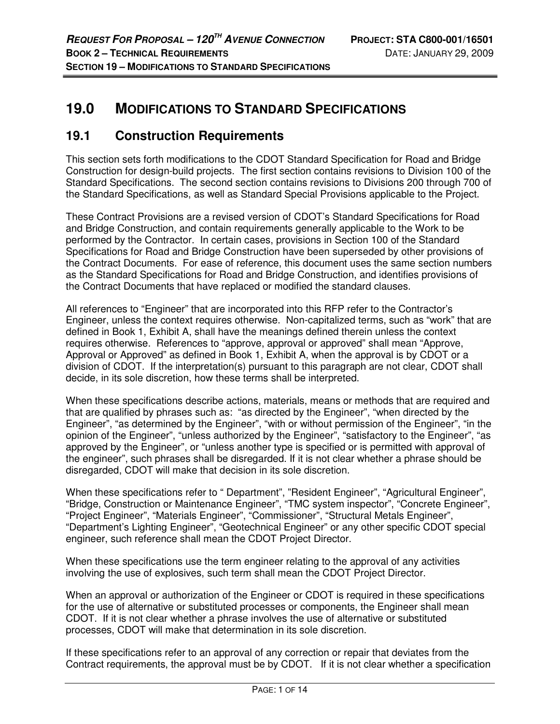# **19.0 MODIFICATIONS TO STANDARD SPECIFICATIONS**

# **19.1 Construction Requirements**

This section sets forth modifications to the CDOT Standard Specification for Road and Bridge Construction for design-build projects. The first section contains revisions to Division 100 of the Standard Specifications. The second section contains revisions to Divisions 200 through 700 of the Standard Specifications, as well as Standard Special Provisions applicable to the Project.

These Contract Provisions are a revised version of CDOT's Standard Specifications for Road and Bridge Construction, and contain requirements generally applicable to the Work to be performed by the Contractor. In certain cases, provisions in Section 100 of the Standard Specifications for Road and Bridge Construction have been superseded by other provisions of the Contract Documents. For ease of reference, this document uses the same section numbers as the Standard Specifications for Road and Bridge Construction, and identifies provisions of the Contract Documents that have replaced or modified the standard clauses.

All references to "Engineer" that are incorporated into this RFP refer to the Contractor's Engineer, unless the context requires otherwise. Non-capitalized terms, such as "work" that are defined in Book 1, Exhibit A, shall have the meanings defined therein unless the context requires otherwise. References to "approve, approval or approved" shall mean "Approve, Approval or Approved" as defined in Book 1, Exhibit A, when the approval is by CDOT or a division of CDOT. If the interpretation(s) pursuant to this paragraph are not clear, CDOT shall decide, in its sole discretion, how these terms shall be interpreted.

When these specifications describe actions, materials, means or methods that are required and that are qualified by phrases such as: "as directed by the Engineer", "when directed by the Engineer", "as determined by the Engineer", "with or without permission of the Engineer", "in the opinion of the Engineer", "unless authorized by the Engineer", "satisfactory to the Engineer", "as approved by the Engineer", or "unless another type is specified or is permitted with approval of the engineer", such phrases shall be disregarded. If it is not clear whether a phrase should be disregarded, CDOT will make that decision in its sole discretion.

When these specifications refer to " Department", "Resident Engineer", "Agricultural Engineer", "Bridge, Construction or Maintenance Engineer", "TMC system inspector", "Concrete Engineer", "Project Engineer", "Materials Engineer", "Commissioner", "Structural Metals Engineer", "Department's Lighting Engineer", "Geotechnical Engineer" or any other specific CDOT special engineer, such reference shall mean the CDOT Project Director.

When these specifications use the term engineer relating to the approval of any activities involving the use of explosives, such term shall mean the CDOT Project Director.

When an approval or authorization of the Engineer or CDOT is required in these specifications for the use of alternative or substituted processes or components, the Engineer shall mean CDOT. If it is not clear whether a phrase involves the use of alternative or substituted processes, CDOT will make that determination in its sole discretion.

If these specifications refer to an approval of any correction or repair that deviates from the Contract requirements, the approval must be by CDOT. If it is not clear whether a specification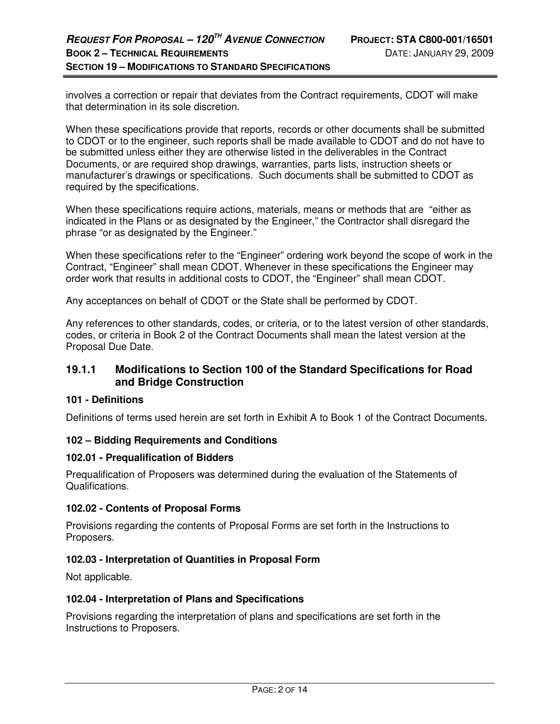involves a correction or repair that deviates from the Contract requirements, CDOT will make that determination in its sole discretion.

When these specifications provide that reports, records or other documents shall be submitted to CDOT or to the engineer, such reports shall be made available to CDOT and do not have to be submitted unless either they are otherwise listed in the deliverables in the Contract Documents, or are required shop drawings, warranties, parts lists, instruction sheets or manufacturer's drawings or specifications. Such documents shall be submitted to CDOT as required by the specifications.

When these specifications require actions, materials, means or methods that are "either as indicated in the Plans or as designated by the Engineer," the Contractor shall disregard the phrase "or as designated by the Engineer."

When these specifications refer to the "Engineer" ordering work beyond the scope of work in the Contract, "Engineer" shall mean CDOT. Whenever in these specifications the Engineer may order work that results in additional costs to CDOT, the "Engineer" shall mean CDOT.

Any acceptances on behalf of CDOT or the State shall be performed by CDOT.

Any references to other standards, codes, or criteria, or to the latest version of other standards, codes, or criteria in Book 2 of the Contract Documents shall mean the latest version at the Proposal Due Date.

### **19.1.1 Modifications to Section 100 of the Standard Specifications for Road and Bridge Construction**

### **101 - Definitions**

Definitions of terms used herein are set forth in Exhibit A to Book 1 of the Contract Documents.

### **102 – Bidding Requirements and Conditions**

#### **102.01 - Prequalification of Bidders**

Prequalification of Proposers was determined during the evaluation of the Statements of Qualifications.

### **102.02 - Contents of Proposal Forms**

Provisions regarding the contents of Proposal Forms are set forth in the Instructions to Proposers.

### **102.03 - Interpretation of Quantities in Proposal Form**

Not applicable.

#### **102.04 - Interpretation of Plans and Specifications**

Provisions regarding the interpretation of plans and specifications are set forth in the Instructions to Proposers.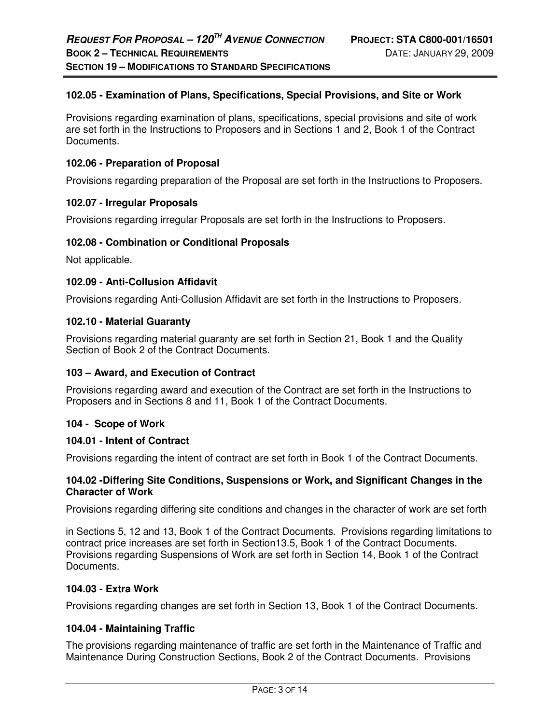### **102.05 - Examination of Plans, Specifications, Special Provisions, and Site or Work**

Provisions regarding examination of plans, specifications, special provisions and site of work are set forth in the Instructions to Proposers and in Sections 1 and 2, Book 1 of the Contract Documents.

#### **102.06 - Preparation of Proposal**

Provisions regarding preparation of the Proposal are set forth in the Instructions to Proposers.

### **102.07 - Irregular Proposals**

Provisions regarding irregular Proposals are set forth in the Instructions to Proposers.

### **102.08 - Combination or Conditional Proposals**

Not applicable.

### **102.09 - Anti-Collusion Affidavit**

Provisions regarding Anti-Collusion Affidavit are set forth in the Instructions to Proposers.

### **102.10 - Material Guaranty**

Provisions regarding material guaranty are set forth in Section 21, Book 1 and the Quality Section of Book 2 of the Contract Documents.

#### **103 – Award, and Execution of Contract**

Provisions regarding award and execution of the Contract are set forth in the Instructions to Proposers and in Sections 8 and 11, Book 1 of the Contract Documents.

#### **104 - Scope of Work**

#### **104.01 - Intent of Contract**

Provisions regarding the intent of contract are set forth in Book 1 of the Contract Documents.

### **104.02 -Differing Site Conditions, Suspensions or Work, and Significant Changes in the Character of Work**

Provisions regarding differing site conditions and changes in the character of work are set forth

in Sections 5, 12 and 13, Book 1 of the Contract Documents. Provisions regarding limitations to contract price increases are set forth in Section13.5, Book 1 of the Contract Documents. Provisions regarding Suspensions of Work are set forth in Section 14, Book 1 of the Contract Documents.

### **104.03 - Extra Work**

Provisions regarding changes are set forth in Section 13, Book 1 of the Contract Documents.

### **104.04 - Maintaining Traffic**

The provisions regarding maintenance of traffic are set forth in the Maintenance of Traffic and Maintenance During Construction Sections, Book 2 of the Contract Documents.Provisions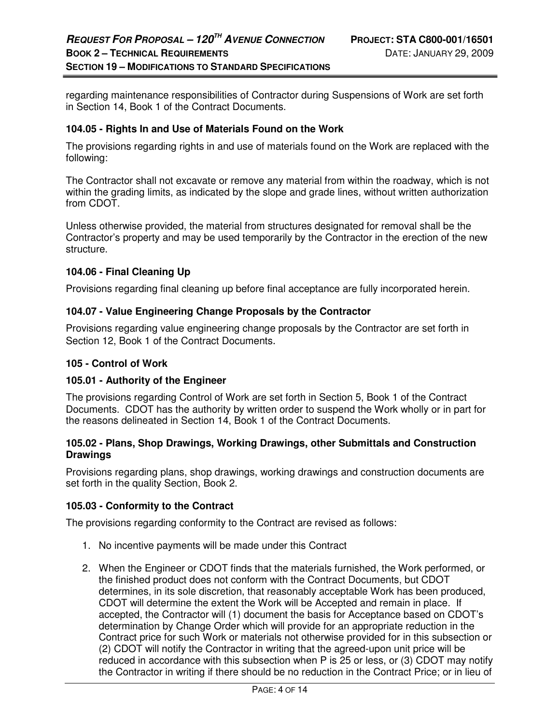regarding maintenance responsibilities of Contractor during Suspensions of Work are set forth in Section 14, Book 1 of the Contract Documents.

### **104.05 - Rights In and Use of Materials Found on the Work**

The provisions regarding rights in and use of materials found on the Work are replaced with the following:

The Contractor shall not excavate or remove any material from within the roadway, which is not within the grading limits, as indicated by the slope and grade lines, without written authorization from CDOT.

Unless otherwise provided, the material from structures designated for removal shall be the Contractor's property and may be used temporarily by the Contractor in the erection of the new structure.

### **104.06 - Final Cleaning Up**

Provisions regarding final cleaning up before final acceptance are fully incorporated herein.

### **104.07 - Value Engineering Change Proposals by the Contractor**

Provisions regarding value engineering change proposals by the Contractor are set forth in Section 12, Book 1 of the Contract Documents.

#### **105 - Control of Work**

### **105.01 - Authority of the Engineer**

The provisions regarding Control of Work are set forth in Section 5, Book 1 of the Contract Documents. CDOT has the authority by written order to suspend the Work wholly or in part for the reasons delineated in Section 14, Book 1 of the Contract Documents.

### **105.02 - Plans, Shop Drawings, Working Drawings, other Submittals and Construction Drawings**

Provisions regarding plans, shop drawings, working drawings and construction documents are set forth in the quality Section, Book 2.

#### **105.03 - Conformity to the Contract**

The provisions regarding conformity to the Contract are revised as follows:

- 1. No incentive payments will be made under this Contract
- 2. When the Engineer or CDOT finds that the materials furnished, the Work performed, or the finished product does not conform with the Contract Documents, but CDOT determines, in its sole discretion, that reasonably acceptable Work has been produced, CDOT will determine the extent the Work will be Accepted and remain in place. If accepted, the Contractor will (1) document the basis for Acceptance based on CDOT's determination by Change Order which will provide for an appropriate reduction in the Contract price for such Work or materials not otherwise provided for in this subsection or (2) CDOT will notify the Contractor in writing that the agreed-upon unit price will be reduced in accordance with this subsection when P is 25 or less, or (3) CDOT may notify the Contractor in writing if there should be no reduction in the Contract Price; or in lieu of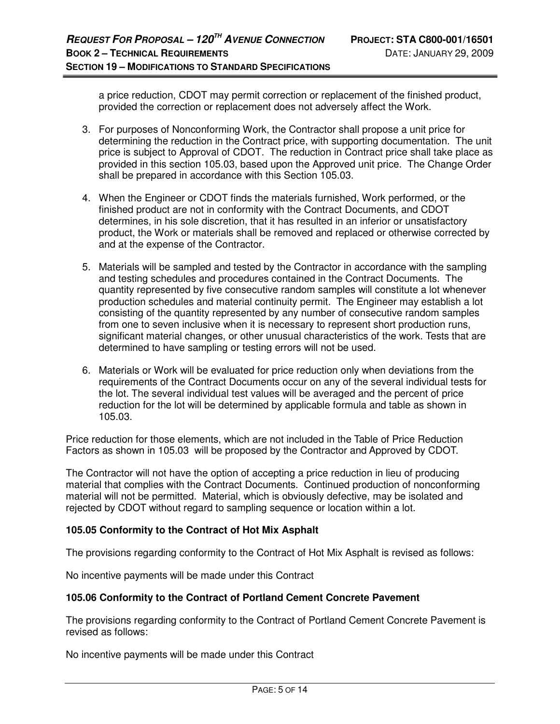a price reduction, CDOT may permit correction or replacement of the finished product, provided the correction or replacement does not adversely affect the Work.

- 3. For purposes of Nonconforming Work, the Contractor shall propose a unit price for determining the reduction in the Contract price, with supporting documentation. The unit price is subject to Approval of CDOT. The reduction in Contract price shall take place as provided in this section 105.03, based upon the Approved unit price. The Change Order shall be prepared in accordance with this Section 105.03.
- 4. When the Engineer or CDOT finds the materials furnished, Work performed, or the finished product are not in conformity with the Contract Documents, and CDOT determines, in his sole discretion, that it has resulted in an inferior or unsatisfactory product, the Work or materials shall be removed and replaced or otherwise corrected by and at the expense of the Contractor.
- 5. Materials will be sampled and tested by the Contractor in accordance with the sampling and testing schedules and procedures contained in the Contract Documents. The quantity represented by five consecutive random samples will constitute a lot whenever production schedules and material continuity permit. The Engineer may establish a lot consisting of the quantity represented by any number of consecutive random samples from one to seven inclusive when it is necessary to represent short production runs, significant material changes, or other unusual characteristics of the work. Tests that are determined to have sampling or testing errors will not be used.
- 6. Materials or Work will be evaluated for price reduction only when deviations from the requirements of the Contract Documents occur on any of the several individual tests for the lot. The several individual test values will be averaged and the percent of price reduction for the lot will be determined by applicable formula and table as shown in 105.03.

Price reduction for those elements, which are not included in the Table of Price Reduction Factors as shown in 105.03 will be proposed by the Contractor and Approved by CDOT.

The Contractor will not have the option of accepting a price reduction in lieu of producing material that complies with the Contract Documents. Continued production of nonconforming material will not be permitted. Material, which is obviously defective, may be isolated and rejected by CDOT without regard to sampling sequence or location within a lot.

### **105.05 Conformity to the Contract of Hot Mix Asphalt**

The provisions regarding conformity to the Contract of Hot Mix Asphalt is revised as follows:

No incentive payments will be made under this Contract

### **105.06 Conformity to the Contract of Portland Cement Concrete Pavement**

The provisions regarding conformity to the Contract of Portland Cement Concrete Pavement is revised as follows:

No incentive payments will be made under this Contract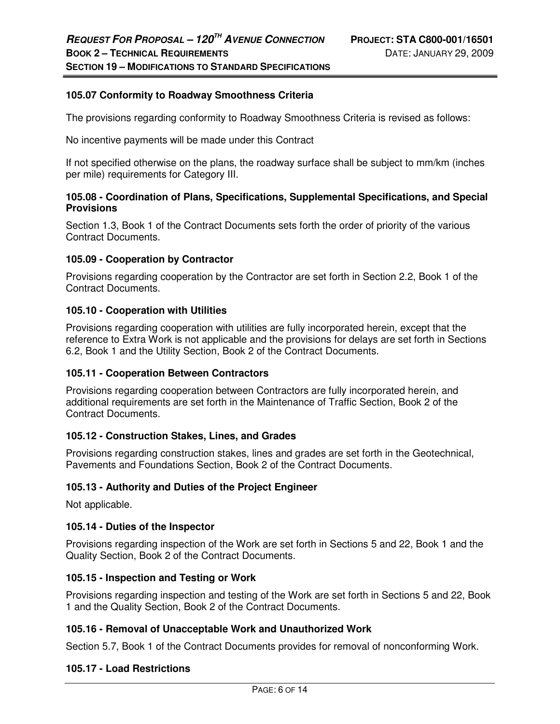### **105.07 Conformity to Roadway Smoothness Criteria**

The provisions regarding conformity to Roadway Smoothness Criteria is revised as follows:

No incentive payments will be made under this Contract

If not specified otherwise on the plans, the roadway surface shall be subject to mm/km (inches per mile) requirements for Category III.

### **105.08 - Coordination of Plans, Specifications, Supplemental Specifications, and Special Provisions**

Section 1.3, Book 1 of the Contract Documents sets forth the order of priority of the various Contract Documents.

### **105.09 - Cooperation by Contractor**

Provisions regarding cooperation by the Contractor are set forth in Section 2.2, Book 1 of the Contract Documents.

#### **105.10 - Cooperation with Utilities**

Provisions regarding cooperation with utilities are fully incorporated herein, except that the reference to Extra Work is not applicable and the provisions for delays are set forth in Sections 6.2, Book 1 and the Utility Section, Book 2 of the Contract Documents.

#### **105.11 - Cooperation Between Contractors**

Provisions regarding cooperation between Contractors are fully incorporated herein, and additional requirements are set forth in the Maintenance of Traffic Section, Book 2 of the Contract Documents.

#### **105.12 - Construction Stakes, Lines, and Grades**

Provisions regarding construction stakes, lines and grades are set forth in the Geotechnical, Pavements and Foundations Section, Book 2 of the Contract Documents.

#### **105.13 - Authority and Duties of the Project Engineer**

Not applicable.

#### **105.14 - Duties of the Inspector**

Provisions regarding inspection of the Work are set forth in Sections 5 and 22, Book 1 and the Quality Section, Book 2 of the Contract Documents.

#### **105.15 - Inspection and Testing or Work**

Provisions regarding inspection and testing of the Work are set forth in Sections 5 and 22, Book 1 and the Quality Section, Book 2 of the Contract Documents.

### **105.16 - Removal of Unacceptable Work and Unauthorized Work**

Section 5.7, Book 1 of the Contract Documents provides for removal of nonconforming Work.

#### **105.17 - Load Restrictions**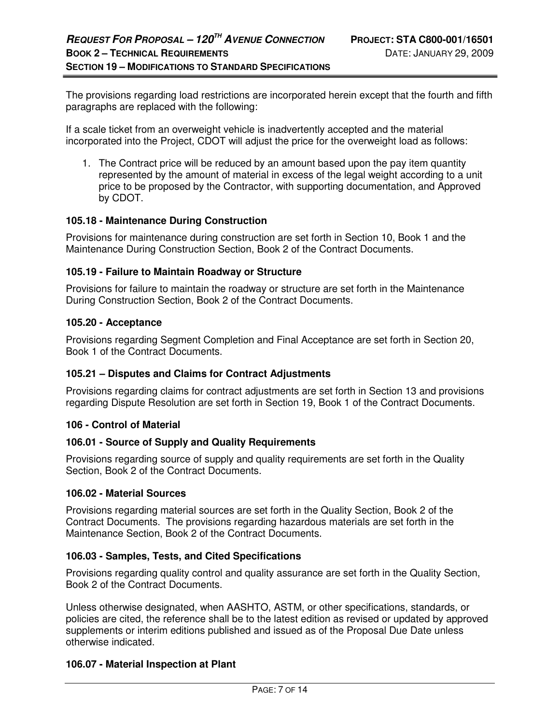The provisions regarding load restrictions are incorporated herein except that the fourth and fifth paragraphs are replaced with the following:

If a scale ticket from an overweight vehicle is inadvertently accepted and the material incorporated into the Project, CDOT will adjust the price for the overweight load as follows:

1. The Contract price will be reduced by an amount based upon the pay item quantity represented by the amount of material in excess of the legal weight according to a unit price to be proposed by the Contractor, with supporting documentation, and Approved by CDOT.

### **105.18 - Maintenance During Construction**

Provisions for maintenance during construction are set forth in Section 10, Book 1 and the Maintenance During Construction Section, Book 2 of the Contract Documents.

### **105.19 - Failure to Maintain Roadway or Structure**

Provisions for failure to maintain the roadway or structure are set forth in the Maintenance During Construction Section, Book 2 of the Contract Documents.

### **105.20 - Acceptance**

Provisions regarding Segment Completion and Final Acceptance are set forth in Section 20, Book 1 of the Contract Documents.

#### **105.21 – Disputes and Claims for Contract Adjustments**

Provisions regarding claims for contract adjustments are set forth in Section 13 and provisions regarding Dispute Resolution are set forth in Section 19, Book 1 of the Contract Documents.

#### **106 - Control of Material**

#### **106.01 - Source of Supply and Quality Requirements**

Provisions regarding source of supply and quality requirements are set forth in the Quality Section, Book 2 of the Contract Documents.

#### **106.02 - Material Sources**

Provisions regarding material sources are set forth in the Quality Section, Book 2 of the Contract Documents. The provisions regarding hazardous materials are set forth in the Maintenance Section, Book 2 of the Contract Documents.

#### **106.03 - Samples, Tests, and Cited Specifications**

Provisions regarding quality control and quality assurance are set forth in the Quality Section, Book 2 of the Contract Documents.

Unless otherwise designated, when AASHTO, ASTM, or other specifications, standards, or policies are cited, the reference shall be to the latest edition as revised or updated by approved supplements or interim editions published and issued as of the Proposal Due Date unless otherwise indicated.

### **106.07 - Material Inspection at Plant**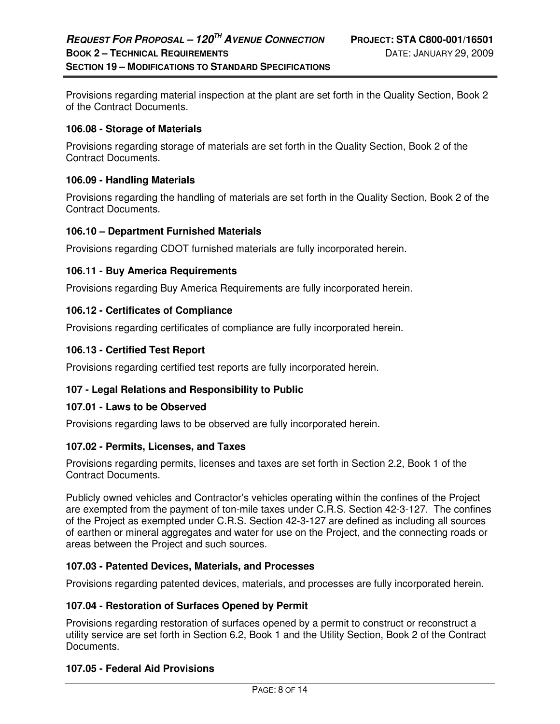Provisions regarding material inspection at the plant are set forth in the Quality Section, Book 2 of the Contract Documents.

#### **106.08 - Storage of Materials**

Provisions regarding storage of materials are set forth in the Quality Section, Book 2 of the Contract Documents.

#### **106.09 - Handling Materials**

Provisions regarding the handling of materials are set forth in the Quality Section, Book 2 of the Contract Documents.

### **106.10 – Department Furnished Materials**

Provisions regarding CDOT furnished materials are fully incorporated herein.

### **106.11 - Buy America Requirements**

Provisions regarding Buy America Requirements are fully incorporated herein.

### **106.12 - Certificates of Compliance**

Provisions regarding certificates of compliance are fully incorporated herein.

### **106.13 - Certified Test Report**

Provisions regarding certified test reports are fully incorporated herein.

### **107 - Legal Relations and Responsibility to Public**

#### **107.01 - Laws to be Observed**

Provisions regarding laws to be observed are fully incorporated herein.

#### **107.02 - Permits, Licenses, and Taxes**

Provisions regarding permits, licenses and taxes are set forth in Section 2.2, Book 1 of the Contract Documents.

Publicly owned vehicles and Contractor's vehicles operating within the confines of the Project are exempted from the payment of ton-mile taxes under C.R.S. Section 42-3-127. The confines of the Project as exempted under C.R.S. Section 42-3-127 are defined as including all sources of earthen or mineral aggregates and water for use on the Project, and the connecting roads or areas between the Project and such sources.

#### **107.03 - Patented Devices, Materials, and Processes**

Provisions regarding patented devices, materials, and processes are fully incorporated herein.

#### **107.04 - Restoration of Surfaces Opened by Permit**

Provisions regarding restoration of surfaces opened by a permit to construct or reconstruct a utility service are set forth in Section 6.2, Book 1 and the Utility Section, Book 2 of the Contract Documents.

#### **107.05 - Federal Aid Provisions**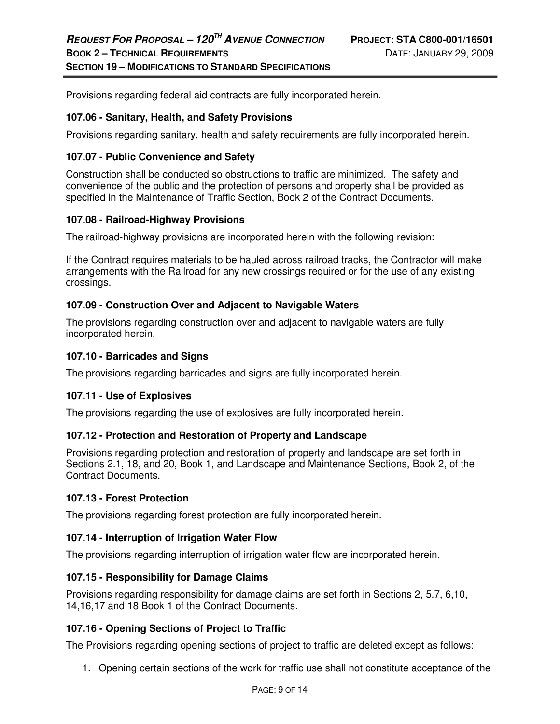Provisions regarding federal aid contracts are fully incorporated herein.

### **107.06 - Sanitary, Health, and Safety Provisions**

Provisions regarding sanitary, health and safety requirements are fully incorporated herein.

### **107.07 - Public Convenience and Safety**

Construction shall be conducted so obstructions to traffic are minimized. The safety and convenience of the public and the protection of persons and property shall be provided as specified in the Maintenance of Traffic Section, Book 2 of the Contract Documents.

### **107.08 - Railroad-Highway Provisions**

The railroad-highway provisions are incorporated herein with the following revision:

If the Contract requires materials to be hauled across railroad tracks, the Contractor will make arrangements with the Railroad for any new crossings required or for the use of any existing crossings.

### **107.09 - Construction Over and Adjacent to Navigable Waters**

The provisions regarding construction over and adjacent to navigable waters are fully incorporated herein.

#### **107.10 - Barricades and Signs**

The provisions regarding barricades and signs are fully incorporated herein.

#### **107.11 - Use of Explosives**

The provisions regarding the use of explosives are fully incorporated herein.

#### **107.12 - Protection and Restoration of Property and Landscape**

Provisions regarding protection and restoration of property and landscape are set forth in Sections 2.1, 18, and 20, Book 1, and Landscape and Maintenance Sections, Book 2, of the Contract Documents.

#### **107.13 - Forest Protection**

The provisions regarding forest protection are fully incorporated herein.

#### **107.14 - Interruption of Irrigation Water Flow**

The provisions regarding interruption of irrigation water flow are incorporated herein.

#### **107.15 - Responsibility for Damage Claims**

Provisions regarding responsibility for damage claims are set forth in Sections 2, 5.7, 6,10, 14,16,17 and 18 Book 1 of the Contract Documents.

### **107.16 - Opening Sections of Project to Traffic**

The Provisions regarding opening sections of project to traffic are deleted except as follows:

1. Opening certain sections of the work for traffic use shall not constitute acceptance of the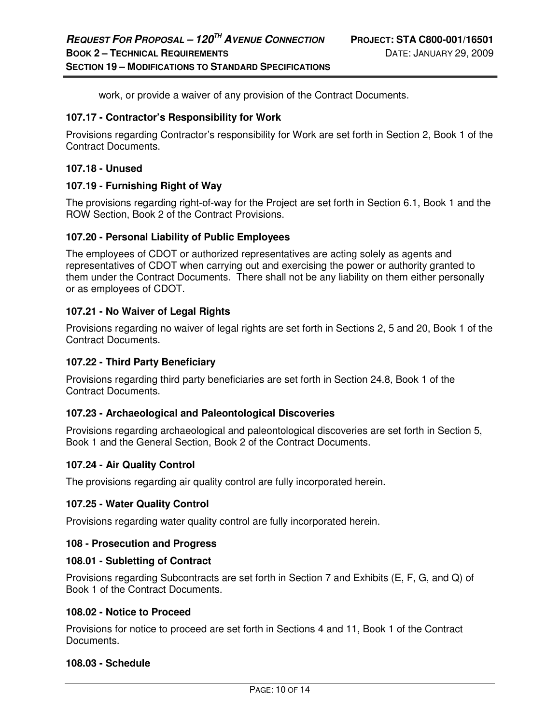work, or provide a waiver of any provision of the Contract Documents.

#### **107.17 - Contractor's Responsibility for Work**

Provisions regarding Contractor's responsibility for Work are set forth in Section 2, Book 1 of the Contract Documents.

#### **107.18 - Unused**

#### **107.19 - Furnishing Right of Way**

The provisions regarding right-of-way for the Project are set forth in Section 6.1, Book 1 and the ROW Section, Book 2 of the Contract Provisions.

#### **107.20 - Personal Liability of Public Employees**

The employees of CDOT or authorized representatives are acting solely as agents and representatives of CDOT when carrying out and exercising the power or authority granted to them under the Contract Documents. There shall not be any liability on them either personally or as employees of CDOT.

#### **107.21 - No Waiver of Legal Rights**

Provisions regarding no waiver of legal rights are set forth in Sections 2, 5 and 20, Book 1 of the Contract Documents.

#### **107.22 - Third Party Beneficiary**

Provisions regarding third party beneficiaries are set forth in Section 24.8, Book 1 of the Contract Documents.

#### **107.23 - Archaeological and Paleontological Discoveries**

Provisions regarding archaeological and paleontological discoveries are set forth in Section 5, Book 1 and the General Section, Book 2 of the Contract Documents.

#### **107.24 - Air Quality Control**

The provisions regarding air quality control are fully incorporated herein.

#### **107.25 - Water Quality Control**

Provisions regarding water quality control are fully incorporated herein.

#### **108 - Prosecution and Progress**

#### **108.01 - Subletting of Contract**

Provisions regarding Subcontracts are set forth in Section 7 and Exhibits (E, F, G, and Q) of Book 1 of the Contract Documents.

#### **108.02 - Notice to Proceed**

Provisions for notice to proceed are set forth in Sections 4 and 11, Book 1 of the Contract Documents.

#### **108.03 - Schedule**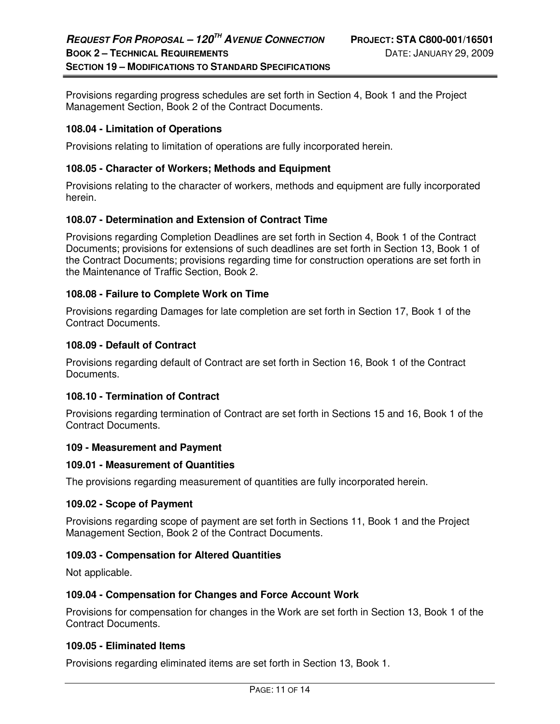Provisions regarding progress schedules are set forth in Section 4, Book 1 and the Project Management Section, Book 2 of the Contract Documents.

### **108.04 - Limitation of Operations**

Provisions relating to limitation of operations are fully incorporated herein.

### **108.05 - Character of Workers; Methods and Equipment**

Provisions relating to the character of workers, methods and equipment are fully incorporated herein.

### **108.07 - Determination and Extension of Contract Time**

Provisions regarding Completion Deadlines are set forth in Section 4, Book 1 of the Contract Documents; provisions for extensions of such deadlines are set forth in Section 13, Book 1 of the Contract Documents; provisions regarding time for construction operations are set forth in the Maintenance of Traffic Section, Book 2.

### **108.08 - Failure to Complete Work on Time**

Provisions regarding Damages for late completion are set forth in Section 17, Book 1 of the Contract Documents.

#### **108.09 - Default of Contract**

Provisions regarding default of Contract are set forth in Section 16, Book 1 of the Contract Documents.

#### **108.10 - Termination of Contract**

Provisions regarding termination of Contract are set forth in Sections 15 and 16, Book 1 of the Contract Documents.

#### **109 - Measurement and Payment**

#### **109.01 - Measurement of Quantities**

The provisions regarding measurement of quantities are fully incorporated herein.

#### **109.02 - Scope of Payment**

Provisions regarding scope of payment are set forth in Sections 11, Book 1 and the Project Management Section, Book 2 of the Contract Documents.

#### **109.03 - Compensation for Altered Quantities**

Not applicable.

#### **109.04 - Compensation for Changes and Force Account Work**

Provisions for compensation for changes in the Work are set forth in Section 13, Book 1 of the Contract Documents.

#### **109.05 - Eliminated Items**

Provisions regarding eliminated items are set forth in Section 13, Book 1.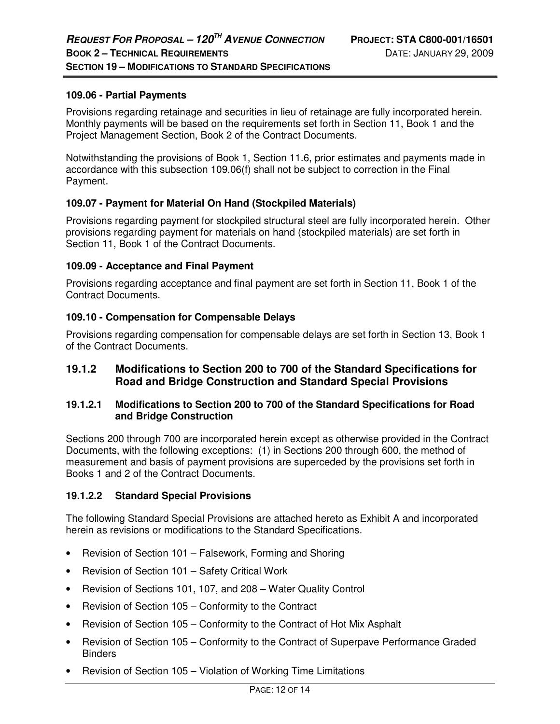### **109.06 - Partial Payments**

Provisions regarding retainage and securities in lieu of retainage are fully incorporated herein. Monthly payments will be based on the requirements set forth in Section 11, Book 1 and the Project Management Section, Book 2 of the Contract Documents.

Notwithstanding the provisions of Book 1, Section 11.6, prior estimates and payments made in accordance with this subsection 109.06(f) shall not be subject to correction in the Final Payment.

### **109.07 - Payment for Material On Hand (Stockpiled Materials)**

Provisions regarding payment for stockpiled structural steel are fully incorporated herein. Other provisions regarding payment for materials on hand (stockpiled materials) are set forth in Section 11, Book 1 of the Contract Documents.

### **109.09 - Acceptance and Final Payment**

Provisions regarding acceptance and final payment are set forth in Section 11, Book 1 of the Contract Documents.

### **109.10 - Compensation for Compensable Delays**

Provisions regarding compensation for compensable delays are set forth in Section 13, Book 1 of the Contract Documents.

### **19.1.2 Modifications to Section 200 to 700 of the Standard Specifications for Road and Bridge Construction and Standard Special Provisions**

### **19.1.2.1 Modifications to Section 200 to 700 of the Standard Specifications for Road and Bridge Construction**

Sections 200 through 700 are incorporated herein except as otherwise provided in the Contract Documents, with the following exceptions: (1) in Sections 200 through 600, the method of measurement and basis of payment provisions are superceded by the provisions set forth in Books 1 and 2 of the Contract Documents.

### **19.1.2.2 Standard Special Provisions**

The following Standard Special Provisions are attached hereto as Exhibit A and incorporated herein as revisions or modifications to the Standard Specifications.

- Revision of Section 101 Falsework, Forming and Shoring
- Revision of Section 101 Safety Critical Work
- Revision of Sections 101, 107, and 208 Water Quality Control
- Revision of Section 105 Conformity to the Contract
- Revision of Section 105 Conformity to the Contract of Hot Mix Asphalt
- Revision of Section 105 Conformity to the Contract of Superpave Performance Graded **Binders**
- Revision of Section 105 Violation of Working Time Limitations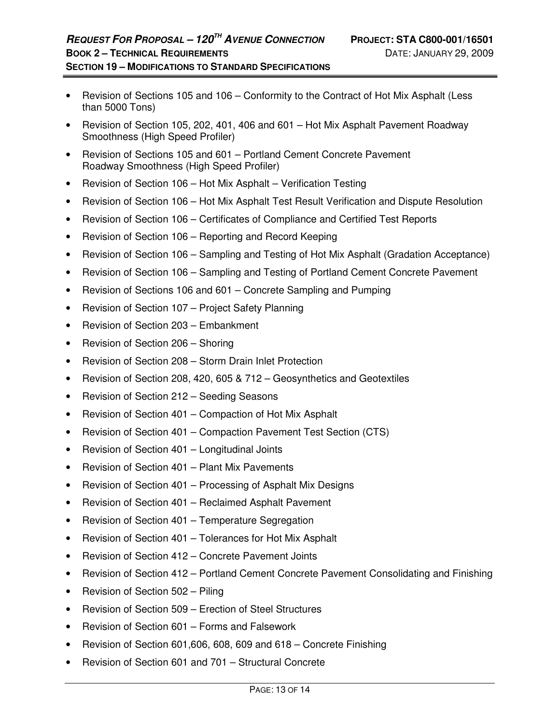- Revision of Sections 105 and 106 Conformity to the Contract of Hot Mix Asphalt (Less than 5000 Tons)
- Revision of Section 105, 202, 401, 406 and 601 Hot Mix Asphalt Pavement Roadway Smoothness (High Speed Profiler)
- Revision of Sections 105 and 601 Portland Cement Concrete Pavement Roadway Smoothness (High Speed Profiler)
- Revision of Section 106 Hot Mix Asphalt Verification Testing
- Revision of Section 106 Hot Mix Asphalt Test Result Verification and Dispute Resolution
- Revision of Section 106 Certificates of Compliance and Certified Test Reports
- Revision of Section 106 Reporting and Record Keeping
- Revision of Section 106 Sampling and Testing of Hot Mix Asphalt (Gradation Acceptance)
- Revision of Section 106 Sampling and Testing of Portland Cement Concrete Pavement
- Revision of Sections 106 and 601 Concrete Sampling and Pumping
- Revision of Section 107 Project Safety Planning
- Revision of Section 203 Embankment
- Revision of Section 206 Shoring
- Revision of Section 208 Storm Drain Inlet Protection
- Revision of Section 208, 420, 605 & 712 Geosynthetics and Geotextiles
- Revision of Section 212 Seeding Seasons
- Revision of Section 401 Compaction of Hot Mix Asphalt
- Revision of Section 401 Compaction Pavement Test Section (CTS)
- Revision of Section 401 Longitudinal Joints
- Revision of Section 401 Plant Mix Pavements
- Revision of Section 401 Processing of Asphalt Mix Designs
- Revision of Section 401 Reclaimed Asphalt Pavement
- Revision of Section 401 Temperature Segregation
- Revision of Section 401 Tolerances for Hot Mix Asphalt
- Revision of Section 412 Concrete Pavement Joints
- Revision of Section 412 Portland Cement Concrete Pavement Consolidating and Finishing
- Revision of Section 502 Piling
- Revision of Section 509 Erection of Steel Structures
- Revision of Section 601 Forms and Falsework
- Revision of Section 601,606, 608, 609 and 618 Concrete Finishing
- Revision of Section 601 and 701 Structural Concrete